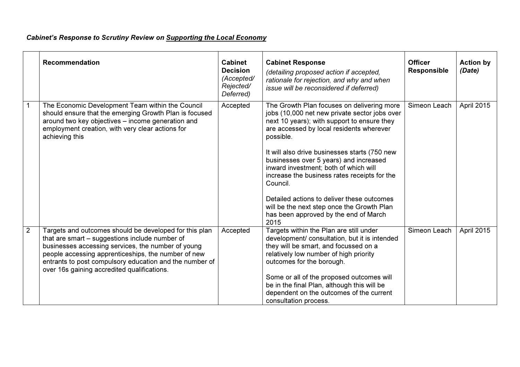## Cabinet's Response to Scrutiny Review on Supporting the Local Economy

|   | <b>Recommendation</b>                                                                                                                                                                                                                                                                                                           | <b>Cabinet</b><br><b>Decision</b><br>(Accepted/<br>Rejected/ | <b>Cabinet Response</b><br>(detailing proposed action if accepted,<br>rationale for rejection, and why and when<br>issue will be reconsidered if deferred)                                                                                                                                                                                                                | <b>Officer</b><br><b>Responsible</b> | <b>Action by</b><br>(Date) |
|---|---------------------------------------------------------------------------------------------------------------------------------------------------------------------------------------------------------------------------------------------------------------------------------------------------------------------------------|--------------------------------------------------------------|---------------------------------------------------------------------------------------------------------------------------------------------------------------------------------------------------------------------------------------------------------------------------------------------------------------------------------------------------------------------------|--------------------------------------|----------------------------|
|   |                                                                                                                                                                                                                                                                                                                                 | Deferred)                                                    |                                                                                                                                                                                                                                                                                                                                                                           |                                      |                            |
|   | The Economic Development Team within the Council<br>should ensure that the emerging Growth Plan is focused<br>around two key objectives - income generation and<br>employment creation, with very clear actions for<br>achieving this                                                                                           | Accepted                                                     | The Growth Plan focuses on delivering more<br>jobs (10,000 net new private sector jobs over<br>next 10 years); with support to ensure they<br>are accessed by local residents wherever<br>possible.                                                                                                                                                                       | Simeon Leach                         | April 2015                 |
|   |                                                                                                                                                                                                                                                                                                                                 |                                                              | It will also drive businesses starts (750 new<br>businesses over 5 years) and increased<br>inward investment; both of which will<br>increase the business rates receipts for the<br>Council.                                                                                                                                                                              |                                      |                            |
|   |                                                                                                                                                                                                                                                                                                                                 |                                                              | Detailed actions to deliver these outcomes<br>will be the next step once the Growth Plan<br>has been approved by the end of March<br>2015                                                                                                                                                                                                                                 |                                      |                            |
| 2 | Targets and outcomes should be developed for this plan<br>that are smart - suggestions include number of<br>businesses accessing services, the number of young<br>people accessing apprenticeships, the number of new<br>entrants to post compulsory education and the number of<br>over 16s gaining accredited qualifications. | Accepted                                                     | Targets within the Plan are still under<br>development/ consultation, but it is intended<br>they will be smart, and focussed on a<br>relatively low number of high priority<br>outcomes for the borough.<br>Some or all of the proposed outcomes will<br>be in the final Plan, although this will be<br>dependent on the outcomes of the current<br>consultation process. | Simeon Leach                         | April 2015                 |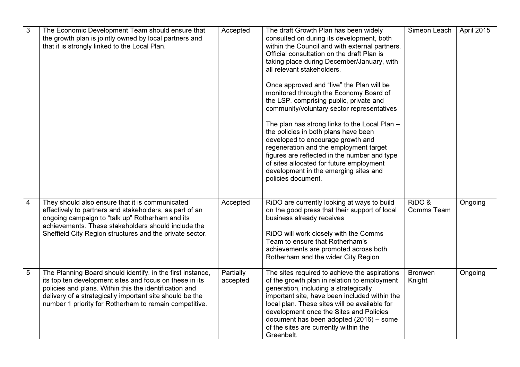| $\mathfrak{S}$ | The Economic Development Team should ensure that<br>the growth plan is jointly owned by local partners and<br>that it is strongly linked to the Local Plan.                                                                                                                                           | Accepted              | The draft Growth Plan has been widely<br>consulted on during its development, both<br>within the Council and with external partners.<br>Official consultation on the draft Plan is<br>taking place during December/January, with<br>all relevant stakeholders.<br>Once approved and "live" the Plan will be<br>monitored through the Economy Board of<br>the LSP, comprising public, private and<br>community/voluntary sector representatives<br>The plan has strong links to the Local Plan -<br>the policies in both plans have been<br>developed to encourage growth and<br>regeneration and the employment target<br>figures are reflected in the number and type<br>of sites allocated for future employment<br>development in the emerging sites and<br>policies document. | Simeon Leach             | April 2015 |
|----------------|-------------------------------------------------------------------------------------------------------------------------------------------------------------------------------------------------------------------------------------------------------------------------------------------------------|-----------------------|-----------------------------------------------------------------------------------------------------------------------------------------------------------------------------------------------------------------------------------------------------------------------------------------------------------------------------------------------------------------------------------------------------------------------------------------------------------------------------------------------------------------------------------------------------------------------------------------------------------------------------------------------------------------------------------------------------------------------------------------------------------------------------------|--------------------------|------------|
| 4              | They should also ensure that it is communicated<br>effectively to partners and stakeholders, as part of an<br>ongoing campaign to "talk up" Rotherham and its<br>achievements. These stakeholders should include the<br>Sheffield City Region structures and the private sector.                      | Accepted              | RiDO are currently looking at ways to build<br>on the good press that their support of local<br>business already receives<br>RiDO will work closely with the Comms<br>Team to ensure that Rotherham's<br>achievements are promoted across both<br>Rotherham and the wider City Region                                                                                                                                                                                                                                                                                                                                                                                                                                                                                             | RiDO &<br>Comms Team     | Ongoing    |
| 5              | The Planning Board should identify, in the first instance,<br>its top ten development sites and focus on these in its<br>policies and plans. Within this the identification and<br>delivery of a strategically important site should be the<br>number 1 priority for Rotherham to remain competitive. | Partially<br>accepted | The sites required to achieve the aspirations<br>of the growth plan in relation to employment<br>generation, including a strategically<br>important site, have been included within the<br>local plan. These sites will be available for<br>development once the Sites and Policies<br>document has been adopted (2016) - some<br>of the sites are currently within the<br>Greenbelt.                                                                                                                                                                                                                                                                                                                                                                                             | <b>Bronwen</b><br>Knight | Ongoing    |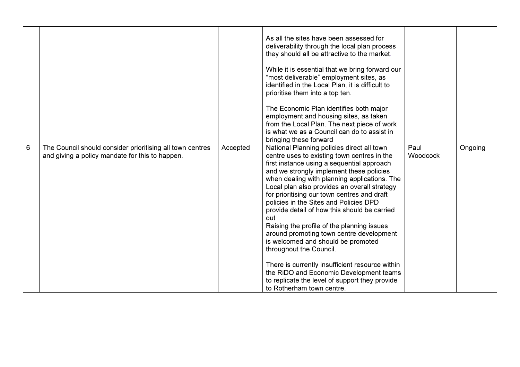|   |                                                                                                              |          | As all the sites have been assessed for<br>deliverability through the local plan process<br>they should all be attractive to the market.<br>While it is essential that we bring forward our<br>"most deliverable" employment sites, as<br>identified in the Local Plan, it is difficult to<br>prioritise them into a top ten.<br>The Economic Plan identifies both major<br>employment and housing sites, as taken<br>from the Local Plan. The next piece of work<br>is what we as a Council can do to assist in<br>bringing these forward                                                                                                                                                                                                                                  |                  |         |
|---|--------------------------------------------------------------------------------------------------------------|----------|-----------------------------------------------------------------------------------------------------------------------------------------------------------------------------------------------------------------------------------------------------------------------------------------------------------------------------------------------------------------------------------------------------------------------------------------------------------------------------------------------------------------------------------------------------------------------------------------------------------------------------------------------------------------------------------------------------------------------------------------------------------------------------|------------------|---------|
| 6 | The Council should consider prioritising all town centres<br>and giving a policy mandate for this to happen. | Accepted | National Planning policies direct all town<br>centre uses to existing town centres in the<br>first instance using a sequential approach<br>and we strongly implement these policies<br>when dealing with planning applications. The<br>Local plan also provides an overall strategy<br>for prioritising our town centres and draft<br>policies in the Sites and Policies DPD<br>provide detail of how this should be carried<br>out<br>Raising the profile of the planning issues<br>around promoting town centre development<br>is welcomed and should be promoted<br>throughout the Council.<br>There is currently insufficient resource within<br>the RiDO and Economic Development teams<br>to replicate the level of support they provide<br>to Rotherham town centre. | Paul<br>Woodcock | Ongoing |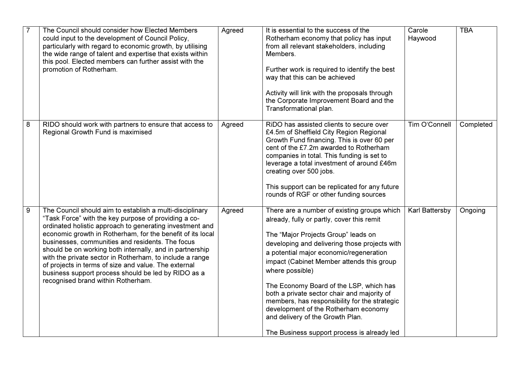| $\overline{7}$ | The Council should consider how Elected Members<br>could input to the development of Council Policy,<br>particularly with regard to economic growth, by utilising<br>the wide range of talent and expertise that exists within<br>this pool. Elected members can further assist with the<br>promotion of Rotherham.                                                                                                                                                                                                                                                         | Agreed | It is essential to the success of the<br>Rotherham economy that policy has input<br>from all relevant stakeholders, including<br>Members.<br>Further work is required to identify the best<br>way that this can be achieved<br>Activity will link with the proposals through<br>the Corporate Improvement Board and the<br>Transformational plan.                                                                                                                                                                                                                  | Carole<br>Haywood | <b>TBA</b> |
|----------------|-----------------------------------------------------------------------------------------------------------------------------------------------------------------------------------------------------------------------------------------------------------------------------------------------------------------------------------------------------------------------------------------------------------------------------------------------------------------------------------------------------------------------------------------------------------------------------|--------|--------------------------------------------------------------------------------------------------------------------------------------------------------------------------------------------------------------------------------------------------------------------------------------------------------------------------------------------------------------------------------------------------------------------------------------------------------------------------------------------------------------------------------------------------------------------|-------------------|------------|
| 8              | RIDO should work with partners to ensure that access to<br>Regional Growth Fund is maximised                                                                                                                                                                                                                                                                                                                                                                                                                                                                                | Agreed | RiDO has assisted clients to secure over<br>£4.5m of Sheffield City Region Regional<br>Growth Fund financing. This is over 60 per<br>cent of the £7.2m awarded to Rotherham<br>companies in total. This funding is set to<br>leverage a total investment of around £46m<br>creating over 500 jobs.<br>This support can be replicated for any future<br>rounds of RGF or other funding sources                                                                                                                                                                      | Tim O'Connell     | Completed  |
| 9              | The Council should aim to establish a multi-disciplinary<br>"Task Force" with the key purpose of providing a co-<br>ordinated holistic approach to generating investment and<br>economic growth in Rotherham, for the benefit of its local<br>businesses, communities and residents. The focus<br>should be on working both internally, and in partnership<br>with the private sector in Rotherham, to include a range<br>of projects in terms of size and value. The external<br>business support process should be led by RIDO as a<br>recognised brand within Rotherham. | Agreed | There are a number of existing groups which<br>already, fully or partly, cover this remit<br>The "Major Projects Group" leads on<br>developing and delivering those projects with<br>a potential major economic/regeneration<br>impact (Cabinet Member attends this group<br>where possible)<br>The Economy Board of the LSP, which has<br>both a private sector chair and majority of<br>members, has responsibility for the strategic<br>development of the Rotherham economy<br>and delivery of the Growth Plan.<br>The Business support process is already led | Karl Battersby    | Ongoing    |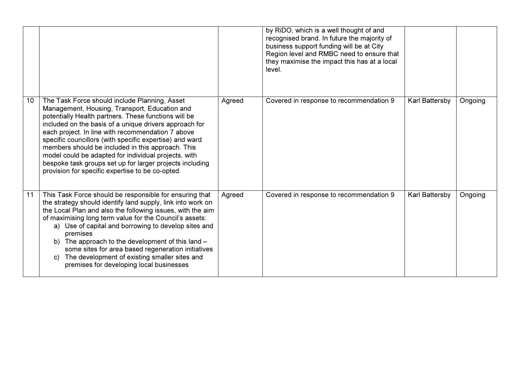|    |                                                                                                                                                                                                                                                                                                                                                                                                                                                                                                                                                               |        | by RiDO, which is a well thought of and<br>recognised brand. In future the majority of<br>business support funding will be at City<br>Region level and RMBC need to ensure that<br>they maximise the impact this has at a local<br>level. |                |         |
|----|---------------------------------------------------------------------------------------------------------------------------------------------------------------------------------------------------------------------------------------------------------------------------------------------------------------------------------------------------------------------------------------------------------------------------------------------------------------------------------------------------------------------------------------------------------------|--------|-------------------------------------------------------------------------------------------------------------------------------------------------------------------------------------------------------------------------------------------|----------------|---------|
| 10 | The Task Force should include Planning, Asset<br>Management, Housing, Transport, Education and<br>potentially Health partners. These functions will be<br>included on the basis of a unique drivers approach for<br>each project. In line with recommendation 7 above<br>specific councillors (with specific expertise) and ward<br>members should be included in this approach. This<br>model could be adapted for individual projects, with<br>bespoke task groups set up for larger projects including<br>provision for specific expertise to be co-opted. | Agreed | Covered in response to recommendation 9                                                                                                                                                                                                   | Karl Battersby | Ongoing |
| 11 | This Task Force should be responsible for ensuring that<br>the strategy should identify land supply, link into work on<br>the Local Plan and also the following issues, with the aim<br>of maximising long term value for the Council's assets:<br>a) Use of capital and borrowing to develop sites and<br>premises<br>b) The approach to the development of this land -<br>some sites for area based regeneration initiatives<br>The development of existing smaller sites and<br>C)<br>premises for developing local businesses                             | Agreed | Covered in response to recommendation 9                                                                                                                                                                                                   | Karl Battersby | Ongoing |